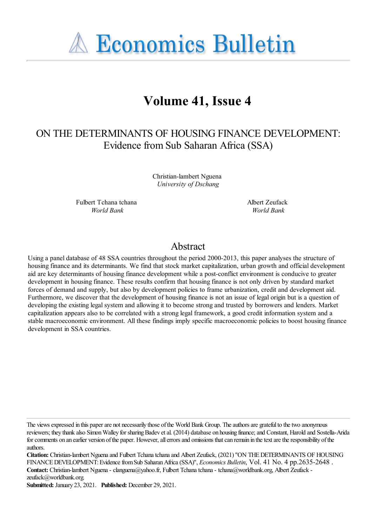**A Economics Bulletin** 

# **Volume 41, Issue 4**

# ON THE DETERMINANTS OF HOUSING FINANCE DEVELOPMENT: Evidence fromSub Saharan Africa (SSA)

Christian-lambert Nguena *University of Dschang*

Fulbert Tchana tchana *World Bank*

Albert Zeufack *World Bank*

# Abstract

Using a panel database of 48 SSA countries throughout the period 2000-2013, this paper analyses the structure of housing finance and its determinants. We find that stock market capitalization, urban growth and official development aid are key determinants of housing finance development while a post-conflict environment is conducive to greater development in housing finance. These results confirm that housing finance is not only driven by standard market forces of demand and supply, but also by development policies to frame urbanization, credit and development aid. Furthermore, we discover that the development of housing finance is not an issue of legal origin but is a question of developing the existing legal system and allowing it to become strong and trusted by borrowers and lenders. Market capitalization appears also to be correlated with a strong legal framework, a good credit information system and a stable macroeconomic environment. All these findings imply specific macroeconomic policies to boost housing finance development in SSA countries.

The views expressed in this paper are not necessarily those of the World Bank Group. The authors are grateful to the two anonymous reviewers; they thank also Simon Walley for sharing Badev et al. (2014) database on housing finance; and Constant, Harold and Sostella-Arida for comments on an earlier version of the paper. However, all errors and omissions that can remain in the text are the responsibility of the authors.

**Citation:** Christian-lambert Nguenaand Fulbert Tchanatchanaand Albert Zeufack, (2021) ''ON THEDETERMINANTS OF HOUSING FINANCEDEVELOPMENT:EvidencefromSub SaharanAfrica(SSA)'', *Economics Bulletin*, Vol. 41 No. 4 pp.2635-2648 . **Contact:** Christian-lambert Nguena- clanguena@yahoo.fr, Fulbert Tchanatchana- tchana@worldbank.org, Albert Zeufack zeufack@worldbank.org.

**Submitted:** January 23, 2021. **Published:** December 29, 2021.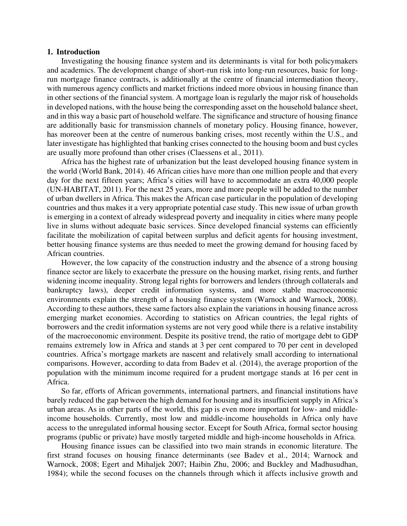#### **1. Introduction**

Investigating the housing finance system and its determinants is vital for both policymakers and academics. The development change of short-run risk into long-run resources, basic for longrun mortgage finance contracts, is additionally at the centre of financial intermediation theory, with numerous agency conflicts and market frictions indeed more obvious in housing finance than in other sections of the financial system. A mortgage loan is regularly the major risk of households in developed nations, with the house being the corresponding asset on the household balance sheet, and in this way a basic part of household welfare. The significance and structure of housing finance are additionally basic for transmission channels of monetary policy. Housing finance, however, has moreover been at the centre of numerous banking crises, most recently within the U.S., and later investigate has highlighted that banking crises connected to the housing boom and bust cycles are usually more profound than other crises (Claessens et al., 2011).

Africa has the highest rate of urbanization but the least developed housing finance system in the world (World Bank, 2014). 46 African cities have more than one million people and that every day for the next fifteen years; Africa's cities will have to accommodate an extra 40,000 people (UN-HABITAT, 2011). For the next 25 years, more and more people will be added to the number of urban dwellers in Africa. This makes the African case particular in the population of developing countries and thus makes it a very appropriate potential case study. This new issue of urban growth is emerging in a context of already widespread poverty and inequality in cities where many people live in slums without adequate basic services. Since developed financial systems can efficiently facilitate the mobilization of capital between surplus and deficit agents for housing investment, better housing finance systems are thus needed to meet the growing demand for housing faced by African countries.

However, the low capacity of the construction industry and the absence of a strong housing finance sector are likely to exacerbate the pressure on the housing market, rising rents, and further widening income inequality. Strong legal rights for borrowers and lenders (through collaterals and bankruptcy laws), deeper credit information systems, and more stable macroeconomic environments explain the strength of a housing finance system (Warnock and Warnock, 2008). According to these authors, these same factors also explain the variations in housing finance across emerging market economies. According to statistics on African countries, the legal rights of borrowers and the credit information systems are not very good while there is a relative instability of the macroeconomic environment. Despite its positive trend, the ratio of mortgage debt to GDP remains extremely low in Africa and stands at 3 per cent compared to 70 per cent in developed countries. Africa's mortgage markets are nascent and relatively small according to international comparisons. However, according to data from Badev et al. (2014), the average proportion of the population with the minimum income required for a prudent mortgage stands at 16 per cent in Africa.

So far, efforts of African governments, international partners, and financial institutions have barely reduced the gap between the high demand for housing and its insufficient supply in Africa's urban areas. As in other parts of the world, this gap is even more important for low- and middleincome households. Currently, most low and middle-income households in Africa only have access to the unregulated informal housing sector. Except for South Africa, formal sector housing programs (public or private) have mostly targeted middle and high-income households in Africa.

Housing finance issues can be classified into two main strands in economic literature. The first strand focuses on housing finance determinants (see Badev et al., 2014; Warnock and Warnock, 2008; Egert and Mihaljek 2007; Haibin Zhu, 2006; and Buckley and Madhusudhan, 1984); while the second focuses on the channels through which it affects inclusive growth and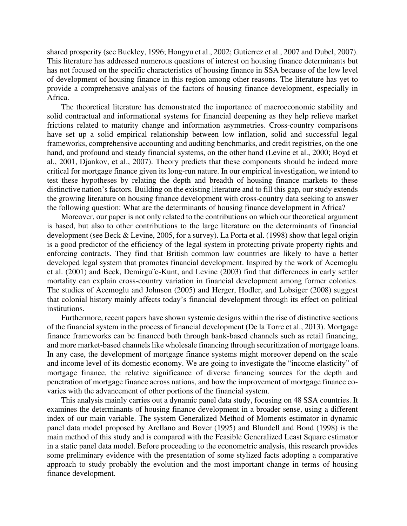shared prosperity (see Buckley, 1996; Hongyu et al., 2002; Gutierrez et al., 2007 and Dubel, 2007). This literature has addressed numerous questions of interest on housing finance determinants but has not focused on the specific characteristics of housing finance in SSA because of the low level of development of housing finance in this region among other reasons. The literature has yet to provide a comprehensive analysis of the factors of housing finance development, especially in Africa.

The theoretical literature has demonstrated the importance of macroeconomic stability and solid contractual and informational systems for financial deepening as they help relieve market frictions related to maturity change and information asymmetries. Cross-country comparisons have set up a solid empirical relationship between low inflation, solid and successful legal frameworks, comprehensive accounting and auditing benchmarks, and credit registries, on the one hand, and profound and steady financial systems, on the other hand (Levine et al., 2000; Boyd et al., 2001, Djankov, et al., 2007). Theory predicts that these components should be indeed more critical for mortgage finance given its long-run nature. In our empirical investigation, we intend to test these hypotheses by relating the depth and breadth of housing finance markets to these distinctive nation's factors. Building on the existing literature and to fill this gap, our study extends the growing literature on housing finance development with cross-country data seeking to answer the following question: What are the determinants of housing finance development in Africa?

Moreover, our paper is not only related to the contributions on which our theoretical argument is based, but also to other contributions to the large literature on the determinants of financial development (see Beck & Levine, 2005, for a survey). La Porta et al. (1998) show that legal origin is a good predictor of the efficiency of the legal system in protecting private property rights and enforcing contracts. They find that British common law countries are likely to have a better developed legal system that promotes financial development. Inspired by the work of Acemoglu et al. (2001) and Beck, Demirgu¨c-Kunt, and Levine (2003) find that differences in early settler mortality can explain cross-country variation in financial development among former colonies. The studies of Acemoglu and Johnson (2005) and Herger, Hodler, and Lobsiger (2008) suggest that colonial history mainly affects today's financial development through its effect on political institutions.

Furthermore, recent papers have shown systemic designs within the rise of distinctive sections of the financial system in the process of financial development (De la Torre et al., 2013). Mortgage finance frameworks can be financed both through bank-based channels such as retail financing, and more market-based channels like wholesale financing through securitization of mortgage loans. In any case, the development of mortgage finance systems might moreover depend on the scale and income level of its domestic economy. We are going to investigate the "income elasticity" of mortgage finance, the relative significance of diverse financing sources for the depth and penetration of mortgage finance across nations, and how the improvement of mortgage finance covaries with the advancement of other portions of the financial system.

This analysis mainly carries out a dynamic panel data study, focusing on 48 SSA countries. It examines the determinants of housing finance development in a broader sense, using a different index of our main variable. The system Generalized Method of Moments estimator in dynamic panel data model proposed by Arellano and Bover (1995) and Blundell and Bond (1998) is the main method of this study and is compared with the Feasible Generalized Least Square estimator in a static panel data model. Before proceeding to the econometric analysis, this research provides some preliminary evidence with the presentation of some stylized facts adopting a comparative approach to study probably the evolution and the most important change in terms of housing finance development.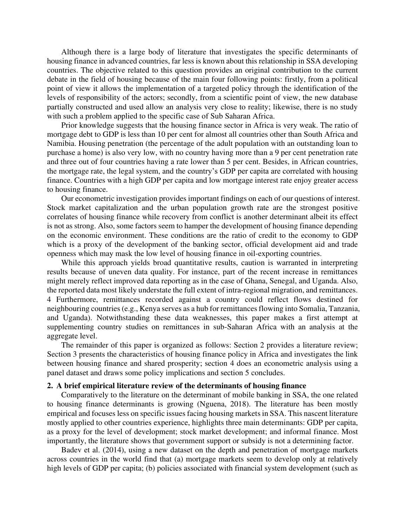Although there is a large body of literature that investigates the specific determinants of housing finance in advanced countries, far less is known about this relationship in SSA developing countries. The objective related to this question provides an original contribution to the current debate in the field of housing because of the main four following points: firstly, from a political point of view it allows the implementation of a targeted policy through the identification of the levels of responsibility of the actors; secondly, from a scientific point of view, the new database partially constructed and used allow an analysis very close to reality; likewise, there is no study with such a problem applied to the specific case of Sub Saharan Africa.

Prior knowledge suggests that the housing finance sector in Africa is very weak. The ratio of mortgage debt to GDP is less than 10 per cent for almost all countries other than South Africa and Namibia. Housing penetration (the percentage of the adult population with an outstanding loan to purchase a home) is also very low, with no country having more than a 9 per cent penetration rate and three out of four countries having a rate lower than 5 per cent. Besides, in African countries, the mortgage rate, the legal system, and the country's GDP per capita are correlated with housing finance. Countries with a high GDP per capita and low mortgage interest rate enjoy greater access to housing finance.

Our econometric investigation provides important findings on each of our questions of interest. Stock market capitalization and the urban population growth rate are the strongest positive correlates of housing finance while recovery from conflict is another determinant albeit its effect is not as strong. Also, some factors seem to hamper the development of housing finance depending on the economic environment. These conditions are the ratio of credit to the economy to GDP which is a proxy of the development of the banking sector, official development aid and trade openness which may mask the low level of housing finance in oil-exporting countries.

While this approach yields broad quantitative results, caution is warranted in interpreting results because of uneven data quality. For instance, part of the recent increase in remittances might merely reflect improved data reporting as in the case of Ghana, Senegal, and Uganda. Also, the reported data most likely understate the full extent of intra-regional migration, and remittances. 4 Furthermore, remittances recorded against a country could reflect flows destined for neighbouring countries (e.g., Kenya serves as a hub for remittances flowing into Somalia, Tanzania, and Uganda). Notwithstanding these data weaknesses, this paper makes a first attempt at supplementing country studies on remittances in sub-Saharan Africa with an analysis at the aggregate level.

The remainder of this paper is organized as follows: Section 2 provides a literature review; Section 3 presents the characteristics of housing finance policy in Africa and investigates the link between housing finance and shared prosperity; section 4 does an econometric analysis using a panel dataset and draws some policy implications and section 5 concludes.

### **2. A brief empirical literature review of the determinants of housing finance**

Comparatively to the literature on the determinant of mobile banking in SSA, the one related to housing finance determinants is growing (Nguena, 2018). The literature has been mostly empirical and focuses less on specific issues facing housing markets in SSA. This nascent literature mostly applied to other countries experience, highlights three main determinants: GDP per capita, as a proxy for the level of development; stock market development; and informal finance. Most importantly, the literature shows that government support or subsidy is not a determining factor.

Badev et al. (2014), using a new dataset on the depth and penetration of mortgage markets across countries in the world find that (a) mortgage markets seem to develop only at relatively high levels of GDP per capita; (b) policies associated with financial system development (such as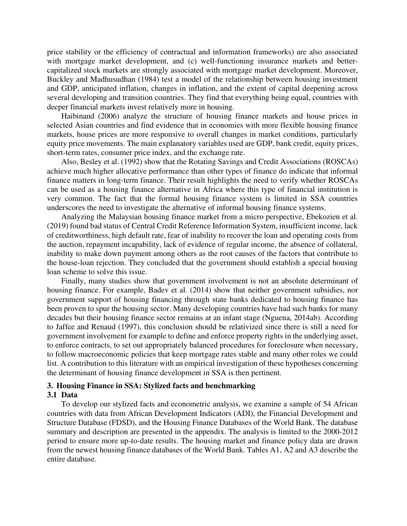price stability or the efficiency of contractual and information frameworks) are also associated with mortgage market development, and (c) well-functioning insurance markets and bettercapitalized stock markets are strongly associated with mortgage market development. Moreover, Buckley and Madhusudhan (1984) test a model of the relationship between housing investment and GDP, anticipated inflation, changes in inflation, and the extent of capital deepening across several developing and transition countries. They find that everything being equal, countries with deeper financial markets invest relatively more in housing.

Haibinand (2006) analyze the structure of housing finance markets and house prices in selected Asian countries and find evidence that in economies with more flexible housing finance markets, house prices are more responsive to overall changes in market conditions, particularly equity price movements. The main explanatory variables used are GDP, bank credit, equity prices, short-term rates, consumer price index, and the exchange rate.

Also, Besley et al. (1992) show that the Rotating Savings and Credit Associations (ROSCAs) achieve much higher allocative performance than other types of finance do indicate that informal finance matters in long-term finance. Their result highlights the need to verify whether ROSCAs can be used as a housing finance alternative in Africa where this type of financial institution is very common. The fact that the formal housing finance system is limited in SSA countries underscores the need to investigate the alternative of informal housing finance systems.

Analyzing the Malaysian housing finance market from a micro perspective, Ebekozien et al. (2019) found bad status of Central Credit Reference Information System, insufficient income, lack of creditworthiness, high default rate, fear of inability to recover the loan and operating costs from the auction, repayment incapability, lack of evidence of regular income, the absence of collateral, inability to make down payment among others as the root causes of the factors that contribute to the house-loan rejection. They concluded that the government should establish a special housing loan scheme to solve this issue.

Finally, many studies show that government involvement is not an absolute determinant of housing finance. For example, Badev et al. (2014) show that neither government subsidies, nor government support of housing financing through state banks dedicated to housing finance has been proven to spur the housing sector. Many developing countries have had such banks for many decades but their housing finance sector remains at an infant stage (Nguena, 2014ab). According to Jaffee and Renaud (1997), this conclusion should be relativized since there is still a need for government involvement for example to define and enforce property rights in the underlying asset, to enforce contracts, to set out appropriately balanced procedures for foreclosure when necessary, to follow macroeconomic policies that keep mortgage rates stable and many other roles we could list. A contribution to this literature with an empirical investigation of these hypotheses concerning the determinant of housing finance development in SSA is then pertinent.

# **3. Housing Finance in SSA: Stylized facts and benchmarking**

### **3.1 Data**

To develop our stylized facts and econometric analysis, we examine a sample of 54 African countries with data from African Development Indicators (ADI), the Financial Development and Structure Database (FDSD), and the Housing Finance Databases of the World Bank. The database summary and description are presented in the appendix. The analysis is limited to the 2000-2012 period to ensure more up-to-date results. The housing market and finance policy data are drawn from the newest housing finance databases of the World Bank. Tables A1, A2 and A3 describe the entire database.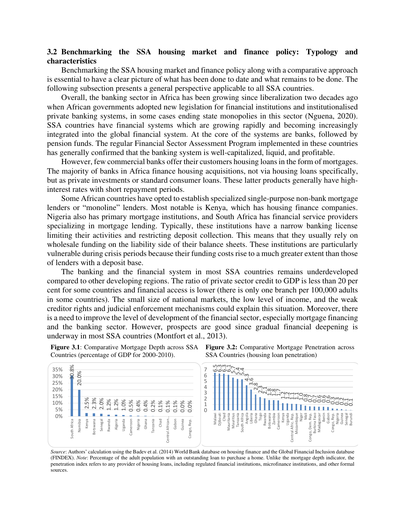## **3.2 Benchmarking the SSA housing market and finance policy: Typology and characteristics**

Benchmarking the SSA housing market and finance policy along with a comparative approach is essential to have a clear picture of what has been done to date and what remains to be done. The following subsection presents a general perspective applicable to all SSA countries.

Overall, the banking sector in Africa has been growing since liberalization two decades ago when African governments adopted new legislation for financial institutions and institutionalised private banking systems, in some cases ending state monopolies in this sector (Nguena, 2020). SSA countries have financial systems which are growing rapidly and becoming increasingly integrated into the global financial system. At the core of the systems are banks, followed by pension funds. The regular Financial Sector Assessment Program implemented in these countries has generally confirmed that the banking system is well-capitalized, liquid, and profitable.

However, few commercial banks offer their customers housing loans in the form of mortgages. The majority of banks in Africa finance housing acquisitions, not via housing loans specifically, but as private investments or standard consumer loans. These latter products generally have highinterest rates with short repayment periods.

Some African countries have opted to establish specialized single-purpose non-bank mortgage lenders or "monoline" lenders. Most notable is Kenya, which has housing finance companies. Nigeria also has primary mortgage institutions, and South Africa has financial service providers specializing in mortgage lending. Typically, these institutions have a narrow banking license limiting their activities and restricting deposit collection. This means that they usually rely on wholesale funding on the liability side of their balance sheets. These institutions are particularly vulnerable during crisis periods because their funding costs rise to a much greater extent than those of lenders with a deposit base.

The banking and the financial system in most SSA countries remains underdeveloped compared to other developing regions. The ratio of private sector credit to GDP is less than 20 per cent for some countries and financial access is lower (there is only one branch per 100,000 adults in some countries). The small size of national markets, the low level of income, and the weak creditor rights and judicial enforcement mechanisms could explain this situation. Moreover, there is a need to improve the level of development of the financial sector, especially mortgage financing and the banking sector. However, prospects are good since gradual financial deepening is underway in most SSA countries (Montfort et al., 2013).

**Figure 3.1**: Comparative Mortgage Depth across SSA

Countries (percentage of GDP for 2000-2010). 6.5 6.3 6.3 6.1 5.7 5.4 5.4  $30.0\%$ 7 35% 20.0% 6 30% 4.0 5 ن<br>منهو<br>- کام 25% 4 بر<br>ح.ن 20% 7.8<sub>80r</sub><br>2.11. 1.7 3 <u>ี่สำ</u> 15% مبر<br>1-..<br>... :<br>41<br>1.1 ೆ.<br>--م.<br>0.7 0.7 7.C<br>20 ou<br>Oc ou<br>OC 2 0.<br>ا 2.5% 2.3% ო<br>0. ო~<br>0. ?-<br>೧೯ 2.0% ਰ-<br>ਹ  $\frac{1}{2}$ 1.2% 1.2% 1.0% 0.5% 10% 0.4% 0.4% 0.2% 0.1% 0.1% 0.1% 0.0% 0.0% 1 5%  $\cap$ Benin 0% Burkina Faso Gabon<br>Congo, Rep. Malawi Djibouti Mauritania Mauritius South Africa Angola Liberia Ghana Togo Rwanda Botswana Zambia Cameroon Kenya Uganda Central Afric. Rep. Niger Mali Congo, Dem. Rep. Madagascar Congo, Rep. Nigeria Guinea Senegal Burundi Ē, Tanzania Mozambique Chad African.. Gabon Tanzania Rep. South Africa Namibia Kenya Botswana Senegal Rwanda Algeria Uganda Cameroon Nigeria Ghana Guinea Congo, Rep.Dem. Central Congo,

**Figure 3.2:** Comparative Mortgage Penetration across SSA Countries (housing loan penetration)

*Source*: Authors' calculation using the Badev et al. (2014) World Bank database on housing finance and the Global Financial Inclusion database (FINDEX). *Note*: Percentage of the adult population with an outstanding loan to purchase a home. Unlike the mortgage depth indicator, the penetration index refers to any provider of housing loans, including regulated financial institutions, microfinance institutions, and other formal sources.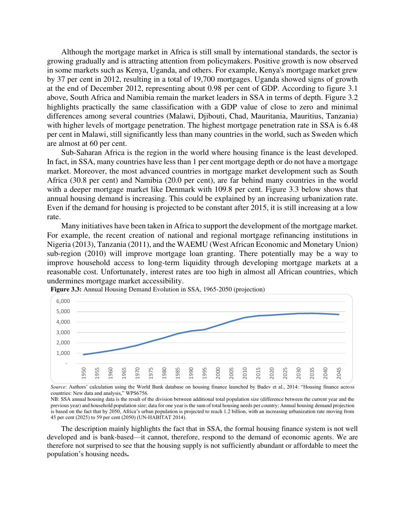Although the mortgage market in Africa is still small by international standards, the sector is growing gradually and is attracting attention from policymakers. Positive growth is now observed in some markets such as Kenya, Uganda, and others. For example, Kenya's mortgage market grew by 37 per cent in 2012, resulting in a total of 19,700 mortgages. Uganda showed signs of growth at the end of December 2012, representing about 0.98 per cent of GDP. According to figure 3.1 above, South Africa and Namibia remain the market leaders in SSA in terms of depth. Figure 3.2 highlights practically the same classification with a GDP value of close to zero and minimal differences among several countries (Malawi, Djibouti, Chad, Mauritania, Mauritius, Tanzania) with higher levels of mortgage penetration. The highest mortgage penetration rate in SSA is 6.48 per cent in Malawi, still significantly less than many countries in the world, such as Sweden which are almost at 60 per cent.

Sub-Saharan Africa is the region in the world where housing finance is the least developed. In fact, in SSA, many countries have less than 1 per cent mortgage depth or do not have a mortgage market. Moreover, the most advanced countries in mortgage market development such as South Africa (30.8 per cent) and Namibia (20.0 per cent), are far behind many countries in the world with a deeper mortgage market like Denmark with 109.8 per cent. Figure 3.3 below shows that annual housing demand is increasing. This could be explained by an increasing urbanization rate. Even if the demand for housing is projected to be constant after 2015, it is still increasing at a low rate.

Many initiatives have been taken in Africa to support the development of the mortgage market. For example, the recent creation of national and regional mortgage refinancing institutions in Nigeria (2013), Tanzania (2011), and the WAEMU (West African Economic and Monetary Union) sub-region (2010) will improve mortgage loan granting. There potentially may be a way to improve household access to long-term liquidity through developing mortgage markets at a reasonable cost. Unfortunately, interest rates are too high in almost all African countries, which undermines mortgage market accessibility.



**Figure 3.3:** Annual Housing Demand Evolution in SSA, 1965-2050 (projection)

*Source*: Authors' calculation using the World Bank database on housing finance launched by Badev et al., 2014: "Housing finance across countries: New data and analysis," WPS6756.

NB: SSA annual housing data is the result of the division between additional total population size (difference between the current year and the previous year) and household population size; data for one year is the sum of total housing needs per country; Annual housing demand projection is based on the fact that by 2050, Africa's urban population is projected to reach 1.2 billion, with an increasing urbanization rate moving from 45 per cent (2025) to 59 per cent (2050) (UN‐HABITAT 2014).

The description mainly highlights the fact that in SSA, the formal housing finance system is not well developed and is bank-based—it cannot, therefore, respond to the demand of economic agents. We are therefore not surprised to see that the housing supply is not sufficiently abundant or affordable to meet the population's housing needs**.**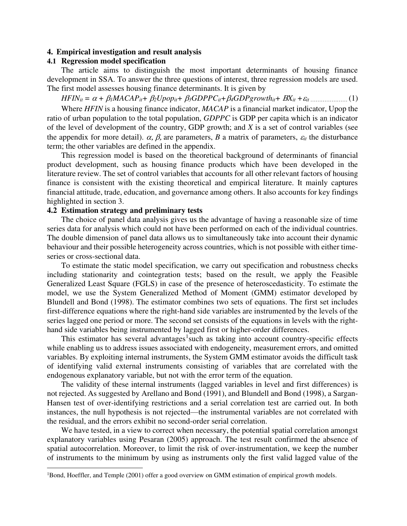#### **4. Empirical investigation and result analysis**

### **4.1 Regression model specification**

The article aims to distinguish the most important determinants of housing finance development in SSA. To answer the three questions of interest, three regression models are used. The first model assesses housing finance determinants. It is given by

*HFINit = + 1MACAPit+ 2Upopit+ 3GDPPCit+4GDPgrowthit+ Xit +it* ………………… (1)

Where *HFIN* is a housing finance indicator, *MACAP* is a financial market indicator, Upop the ratio of urban population to the total population, *GDPPC* is GDP per capita which is an indicator of the level of development of the country, GDP growth; and *X* is a set of control variables (see the appendix for more detail).  $\alpha$ ,  $\beta$ , are parameters, *B* a matrix of parameters,  $\varepsilon$ <sub>*it*</sub> the disturbance term; the other variables are defined in the appendix.

This regression model is based on the theoretical background of determinants of financial product development, such as housing finance products which have been developed in the literature review. The set of control variables that accounts for all other relevant factors of housing finance is consistent with the existing theoretical and empirical literature. It mainly captures financial attitude, trade, education, and governance among others. It also accounts for key findings highlighted in section 3.

#### **4.2 Estimation strategy and preliminary tests**

The choice of panel data analysis gives us the advantage of having a reasonable size of time series data for analysis which could not have been performed on each of the individual countries. The double dimension of panel data allows us to simultaneously take into account their dynamic behaviour and their possible heterogeneity across countries, which is not possible with either timeseries or cross-sectional data.

To estimate the static model specification, we carry out specification and robustness checks including stationarity and cointegration tests; based on the result, we apply the Feasible Generalized Least Square (FGLS) in case of the presence of heteroscedasticity. To estimate the model, we use the System Generalized Method of Moment (GMM) estimator developed by Blundell and Bond (1998). The estimator combines two sets of equations. The first set includes first-difference equations where the right-hand side variables are instrumented by the levels of the series lagged one period or more. The second set consists of the equations in levels with the righthand side variables being instrumented by lagged first or higher-order differences.

This estimator has several advantages<sup>1</sup> such as taking into account country-specific effects while enabling us to address issues associated with endogeneity, measurement errors, and omitted variables. By exploiting internal instruments, the System GMM estimator avoids the difficult task of identifying valid external instruments consisting of variables that are correlated with the endogenous explanatory variable, but not with the error term of the equation.

The validity of these internal instruments (lagged variables in level and first differences) is not rejected. As suggested by Arellano and Bond (1991), and Blundell and Bond (1998), a Sargan-Hansen test of over-identifying restrictions and a serial correlation test are carried out. In both instances, the null hypothesis is not rejected—the instrumental variables are not correlated with the residual, and the errors exhibit no second-order serial correlation.

We have tested, in a view to correct when necessary, the potential spatial correlation amongst explanatory variables using Pesaran (2005) approach. The test result confirmed the absence of spatial autocorrelation. Moreover, to limit the risk of over-instrumentation, we keep the number of instruments to the minimum by using as instruments only the first valid lagged value of the

<sup>&</sup>lt;sup>1</sup>Bond, Hoeffler, and Temple (2001) offer a good overview on GMM estimation of empirical growth models.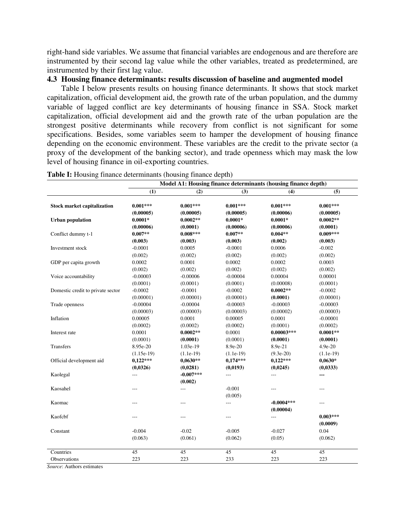right-hand side variables. We assume that financial variables are endogenous and are therefore are instrumented by their second lag value while the other variables, treated as predetermined, are instrumented by their first lag value.

### **4.3 Housing finance determinants: results discussion of baseline and augmented model**

Table I below presents results on housing finance determinants. It shows that stock market capitalization, official development aid, the growth rate of the urban population, and the dummy variable of lagged conflict are key determinants of housing finance in SSA. Stock market capitalization, official development aid and the growth rate of the urban population are the strongest positive determinants while recovery from conflict is not significant for some specifications. Besides, some variables seem to hamper the development of housing finance depending on the economic environment. These variables are the credit to the private sector (a proxy of the development of the banking sector), and trade openness which may mask the low level of housing finance in oil-exporting countries.

| (4)<br>(5)<br>(1)<br>(2)<br>(3)<br>$0.001***$<br>$0.001***$<br>$0.001***$<br>$0.001***$<br>$0.001***$<br><b>Stock market capitalization</b><br>(0.00005)<br>(0.00005)<br>(0.00005)<br>(0.00006)<br>(0.00005)<br>$0.0002**$<br>$0.0001*$<br>$0.0002**$<br><b>Urban population</b><br>$0.0001*$<br>$0.0001*$<br>(0.00006)<br>(0.0001)<br>(0.00006)<br>(0.00006)<br>(0.0001) |
|---------------------------------------------------------------------------------------------------------------------------------------------------------------------------------------------------------------------------------------------------------------------------------------------------------------------------------------------------------------------------|
|                                                                                                                                                                                                                                                                                                                                                                           |
|                                                                                                                                                                                                                                                                                                                                                                           |
|                                                                                                                                                                                                                                                                                                                                                                           |
|                                                                                                                                                                                                                                                                                                                                                                           |
|                                                                                                                                                                                                                                                                                                                                                                           |
|                                                                                                                                                                                                                                                                                                                                                                           |
| $0.009***$<br>$0.007**$<br>$0.008***$<br>$0.007**$<br>$0.004**$<br>Conflict dummy t-1                                                                                                                                                                                                                                                                                     |
| (0.003)<br>(0.003)<br>(0.003)<br>(0.002)<br>(0.003)                                                                                                                                                                                                                                                                                                                       |
| $-0.0001$<br>0.0005<br>$-0.0001$<br>0.0006<br>$-0.002$<br>Investment stock                                                                                                                                                                                                                                                                                                |
| (0.002)<br>(0.002)<br>(0.002)<br>(0.002)<br>(0.002)                                                                                                                                                                                                                                                                                                                       |
| GDP per capita growth<br>0.0002<br>0.0001<br>0.0002<br>0.0002<br>0.0003                                                                                                                                                                                                                                                                                                   |
| (0.002)<br>(0.002)<br>(0.002)<br>(0.002)<br>(0.002)                                                                                                                                                                                                                                                                                                                       |
| Voice accountability<br>$-0.00003$<br>$-0.00006$<br>$-0.00004$<br>0.00004<br>0.00001                                                                                                                                                                                                                                                                                      |
| (0.0001)<br>(0.0001)<br>(0.0001)<br>(0.00008)<br>(0.0001)                                                                                                                                                                                                                                                                                                                 |
| $-0.0002$<br>$-0.0001$<br>$-0.0002$<br>$0.0002**$<br>$-0.0002$<br>Domestic credit to private sector                                                                                                                                                                                                                                                                       |
| (0.00001)<br>(0.00001)<br>(0.00001)<br>(0.0001)<br>(0.00001)                                                                                                                                                                                                                                                                                                              |
| $-0.00004$<br>$-0.00004$<br>$-0.00003$<br>$-0.00003$<br>$-0.00003$<br>Trade openness                                                                                                                                                                                                                                                                                      |
| (0.00003)<br>(0.00003)<br>(0.00003)<br>(0.00002)<br>(0.00003)                                                                                                                                                                                                                                                                                                             |
| Inflation<br>0.00005<br>0.0001<br>0.00005<br>0.0001<br>$-0.00001$                                                                                                                                                                                                                                                                                                         |
| (0.0002)<br>(0.0002)<br>(0.0002)<br>(0.0001)<br>(0.0002)                                                                                                                                                                                                                                                                                                                  |
| $0.0002**$<br>$0.0001**$<br>0.0001<br>0.0001<br>$0.00003***$<br>Interest rate                                                                                                                                                                                                                                                                                             |
| (0.0001)<br>(0.0001)<br>(0.0001)<br>(0.0001)<br>(0.0001)                                                                                                                                                                                                                                                                                                                  |
| Transfers<br>8.95e-20<br>1.03e-19<br>8.9e-20<br>8.9e-21<br>4.9e-20                                                                                                                                                                                                                                                                                                        |
| $(9.3e-20)$<br>$(1.15e-19)$<br>$(1.1e-19)$<br>$(1.1e-19)$<br>$(1.1e-19)$                                                                                                                                                                                                                                                                                                  |
| $0,122***$<br>$0,122***$<br>$0,0630**$<br>$0,174***$<br>$0,0630*$<br>Official development aid                                                                                                                                                                                                                                                                             |
| (0,0326)<br>(0,0193)<br>(0,0245)<br>(0, 0333)<br>(0,0281)                                                                                                                                                                                                                                                                                                                 |
| $-0.007***$<br>Kaolegal<br>$\overline{\phantom{a}}$<br>$\overline{a}$<br>---<br>---                                                                                                                                                                                                                                                                                       |
| (0.002)                                                                                                                                                                                                                                                                                                                                                                   |
| $-0.001$<br>Kaosahel<br>$---$<br>$\overline{a}$<br>$---$<br>---                                                                                                                                                                                                                                                                                                           |
| (0.005)                                                                                                                                                                                                                                                                                                                                                                   |
| $-0.0004***$<br>Kaomac<br>$---$<br>---<br>---<br>$---$                                                                                                                                                                                                                                                                                                                    |
| (0.00004)                                                                                                                                                                                                                                                                                                                                                                 |
| Kaofcbf<br>$0.003***$<br>$\overline{a}$<br>$---$<br>$---$<br>$---$                                                                                                                                                                                                                                                                                                        |
| (0.0009)                                                                                                                                                                                                                                                                                                                                                                  |
| $-0.004$<br>$-0.02$<br>$-0.005$<br>$-0.027$<br>0.04<br>Constant                                                                                                                                                                                                                                                                                                           |
| (0.061)<br>(0.05)<br>(0.063)<br>(0.062)<br>(0.062)                                                                                                                                                                                                                                                                                                                        |
|                                                                                                                                                                                                                                                                                                                                                                           |
| 45<br>45<br>45<br>45<br>45<br>Countries                                                                                                                                                                                                                                                                                                                                   |
| 223<br>223<br>233<br>223<br>223<br>Observations                                                                                                                                                                                                                                                                                                                           |

**Table I:** Housing finance determinants (housing finance depth)

*Source*: Authors estimates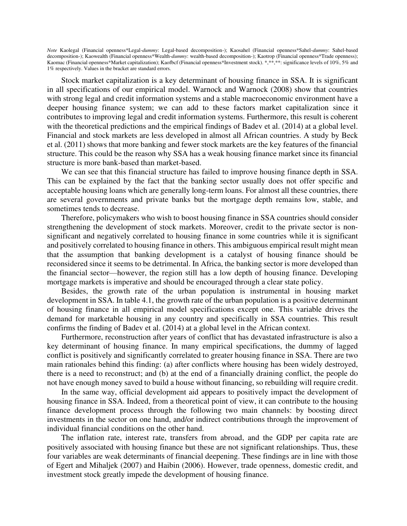*Note* Kaolegal (Financial openness\*Legal-*dummy*: Legal-based decomposition-); Kaosahel (Financial openness\*Sahel-*dummy*: Sahel-based decomposition-); Kaowealth (Financial openness\*Wealth-*dummy*: wealth-based decomposition-); Kaotrop (Financial openness\*Trade openness); Kaomac (Financial openness\*Market capitalization); Kaofbcf (Financial openness\*Investment stock). \*,\*\*,\*\*: significance levels of 10%, 5% and 1% respectively. Values in the bracket are standard errors.

Stock market capitalization is a key determinant of housing finance in SSA. It is significant in all specifications of our empirical model. Warnock and Warnock (2008) show that countries with strong legal and credit information systems and a stable macroeconomic environment have a deeper housing finance system; we can add to these factors market capitalization since it contributes to improving legal and credit information systems. Furthermore, this result is coherent with the theoretical predictions and the empirical findings of Badev et al. (2014) at a global level. Financial and stock markets are less developed in almost all African countries. A study by Beck et al. (2011) shows that more banking and fewer stock markets are the key features of the financial structure. This could be the reason why SSA has a weak housing finance market since its financial structure is more bank-based than market-based.

We can see that this financial structure has failed to improve housing finance depth in SSA. This can be explained by the fact that the banking sector usually does not offer specific and acceptable housing loans which are generally long-term loans. For almost all these countries, there are several governments and private banks but the mortgage depth remains low, stable, and sometimes tends to decrease.

Therefore, policymakers who wish to boost housing finance in SSA countries should consider strengthening the development of stock markets. Moreover, credit to the private sector is nonsignificant and negatively correlated to housing finance in some countries while it is significant and positively correlated to housing finance in others. This ambiguous empirical result might mean that the assumption that banking development is a catalyst of housing finance should be reconsidered since it seems to be detrimental. In Africa, the banking sector is more developed than the financial sector—however, the region still has a low depth of housing finance. Developing mortgage markets is imperative and should be encouraged through a clear state policy.

Besides, the growth rate of the urban population is instrumental in housing market development in SSA. In table 4.1, the growth rate of the urban population is a positive determinant of housing finance in all empirical model specifications except one. This variable drives the demand for marketable housing in any country and specifically in SSA countries. This result confirms the finding of Badev et al. (2014) at a global level in the African context.

Furthermore, reconstruction after years of conflict that has devastated infrastructure is also a key determinant of housing finance. In many empirical specifications, the dummy of lagged conflict is positively and significantly correlated to greater housing finance in SSA. There are two main rationales behind this finding: (a) after conflicts where housing has been widely destroyed, there is a need to reconstruct; and (b) at the end of a financially draining conflict, the people do not have enough money saved to build a house without financing, so rebuilding will require credit.

In the same way, official development aid appears to positively impact the development of housing finance in SSA. Indeed, from a theoretical point of view, it can contribute to the housing finance development process through the following two main channels: by boosting direct investments in the sector on one hand, and/or indirect contributions through the improvement of individual financial conditions on the other hand.

The inflation rate, interest rate, transfers from abroad, and the GDP per capita rate are positively associated with housing finance but these are not significant relationships. Thus, these four variables are weak determinants of financial deepening. These findings are in line with those of Egert and Mihaljek (2007) and Haibin (2006). However, trade openness, domestic credit, and investment stock greatly impede the development of housing finance.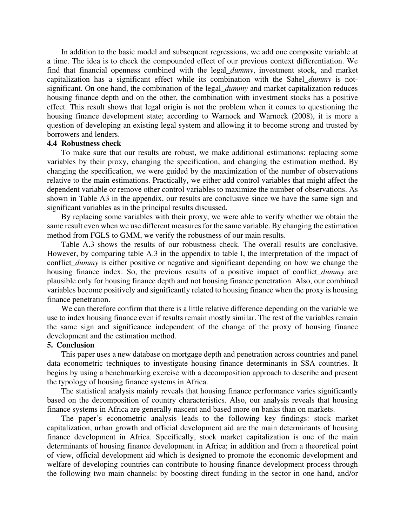In addition to the basic model and subsequent regressions, we add one composite variable at a time. The idea is to check the compounded effect of our previous context differentiation. We find that financial openness combined with the legal\_*dummy*, investment stock, and market capitalization has a significant effect while its combination with the Sahel\_*dummy* is notsignificant. On one hand, the combination of the legal\_*dummy* and market capitalization reduces housing finance depth and on the other, the combination with investment stocks has a positive effect. This result shows that legal origin is not the problem when it comes to questioning the housing finance development state; according to Warnock and Warnock (2008), it is more a question of developing an existing legal system and allowing it to become strong and trusted by borrowers and lenders.

# **4.4 Robustness check**

To make sure that our results are robust, we make additional estimations: replacing some variables by their proxy, changing the specification, and changing the estimation method. By changing the specification, we were guided by the maximization of the number of observations relative to the main estimations. Practically, we either add control variables that might affect the dependent variable or remove other control variables to maximize the number of observations. As shown in Table A3 in the appendix, our results are conclusive since we have the same sign and significant variables as in the principal results discussed.

By replacing some variables with their proxy, we were able to verify whether we obtain the same result even when we use different measures for the same variable. By changing the estimation method from FGLS to GMM, we verify the robustness of our main results.

Table A.3 shows the results of our robustness check. The overall results are conclusive. However, by comparing table A.3 in the appendix to table I, the interpretation of the impact of conflict\_*dummy* is either positive or negative and significant depending on how we change the housing finance index. So, the previous results of a positive impact of conflict *dummy* are plausible only for housing finance depth and not housing finance penetration. Also, our combined variables become positively and significantly related to housing finance when the proxy is housing finance penetration.

We can therefore confirm that there is a little relative difference depending on the variable we use to index housing finance even if results remain mostly similar. The rest of the variables remain the same sign and significance independent of the change of the proxy of housing finance development and the estimation method.

### **5. Conclusion**

This paper uses a new database on mortgage depth and penetration across countries and panel data econometric techniques to investigate housing finance determinants in SSA countries. It begins by using a benchmarking exercise with a decomposition approach to describe and present the typology of housing finance systems in Africa.

The statistical analysis mainly reveals that housing finance performance varies significantly based on the decomposition of country characteristics. Also, our analysis reveals that housing finance systems in Africa are generally nascent and based more on banks than on markets.

The paper's econometric analysis leads to the following key findings: stock market capitalization, urban growth and official development aid are the main determinants of housing finance development in Africa. Specifically, stock market capitalization is one of the main determinants of housing finance development in Africa; in addition and from a theoretical point of view, official development aid which is designed to promote the economic development and welfare of developing countries can contribute to housing finance development process through the following two main channels: by boosting direct funding in the sector in one hand, and/or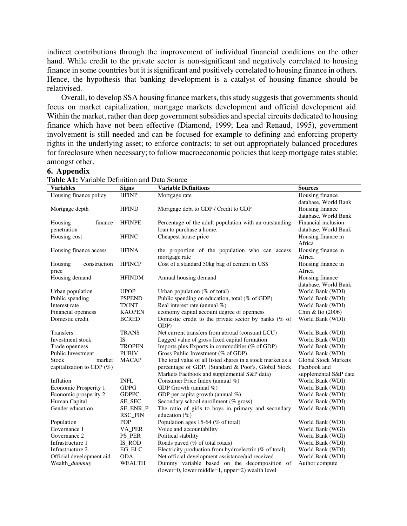indirect contributions through the improvement of individual financial conditions on the other hand. While credit to the private sector is non-significant and negatively correlated to housing finance in some countries but it is significant and positively correlated to housing finance in others. Hence, the hypothesis that banking development is a catalyst of housing finance should be relativised.

Overall, to develop SSA housing finance markets, this study suggests that governments should focus on market capitalization, mortgage markets development and official development aid. Within the market, rather than deep government subsidies and special circuits dedicated to housing finance which have not been effective (Diamond, 1999; Lea and Renaud, 1995), government involvement is still needed and can be focused for example to defining and enforcing property rights in the underlying asset; to enforce contracts; to set out appropriately balanced procedures for foreclosure when necessary; to follow macroeconomic policies that keep mortgage rates stable; amongst other.

#### **Variables Signs Variable Definitions Sources**  Housing finance policy HFINP Mortgage rate Housing finance database, World Bank Mortgage depth HFIND Mortgage debt to GDP / Credit to GDP Housing finance database, World Bank Housing finance penetration HFINPE Percentage of the adult population with an outstanding loan to purchase a home. Financial inclusion database, World Bank Housing cost HFINC Cheapest house price Housing finance in Africa Housing finance access HFINA the proportion of the population who can access mortgage rate Housing finance in Africa Housing construction price HFINCP Cost of a standard 50kg bag of cement in US\$ Housing finance in Africa<br>Housing finance Housing demand HFINDM Annual housing demand database, World Bank Urban population UPOP Urban population  $(\% \text{ of total})$ Public spending PSPEND Public spending on education, total (% of GDP) World Bank (WDI) Interest rate TXINT Real interest rate (annual %) World Bank (WDI) Financial openness KAOPEN economy capital account degree of openness Chin & Ito (2006) Domestic credit BCRED Domestic credit to the private sector by banks (% of GDP) World Bank (WDI) Transfers TRANS Net current transfers from abroad (constant LCU) World Bank (WDI) Investment stock IS Lagged value of gross fixed capital formation World Bank (WDI) Trade openness TROPEN Imports plus Exports in commodities (% of GDP) World Bank (WDI) Public Investment PUBIV Gross Public Investment (% of GDP) World Bank (WDI) Stock market capitalization to GDP (%) MACAP The total value of all listed shares in a stock market as a percentage of GDP. (Standard & Poor's, Global Stock Markets Factbook and supplemental S&P data) Global Stock Markets Factbook and supplemental S&P data Inflation INFL Consumer Price Index (annual %) World Bank (WDI)<br>
Economic Prosperity 1 GDPG GDP Growth (annual %) World Bank (WDI) Economic Prosperity 1 GDPG GDP Growth (annual %) World Bank (WDI)<br>Economic prosperity 2 GDPPC GDP per capita growth (annual %) World Bank (WDI) GDP per capita growth (annual  $\%$ ) Human Capital SE\_SEC Secondary school enrollment (% gross) World Bank (WDI) Gender education SE\_ENR\_P RSC\_FIN The ratio of girls to boys in primary and secondary education (%) World Bank (WDI) Population POP Population ages 15-64 (% of total) World Bank (WDI) Governance 1 VA PER Voice and accountability World Bank (WGI) Governance 2 PS\_PER Political stability World Bank (WGI) Infrastructure 1 IS\_ROD Roads paved (% of total roads) World Bank (WDI) Infrastructure 2 EG\_ELC Electricity production from hydroelectric (% of total) World Bank (WDI)<br>Official development assistance/aid received World Bank (WDI) Official development aid ODA Net official development assistance/aid received Wealth *dummuy* WEALTH Dummy variable based on the decomposition Dummy variable based on the decomposition of Author compute

(lower=0, lower middle=1, upper=2) wealth level

**Table A1:** Variable Definition and Data Source

**6. Appendix**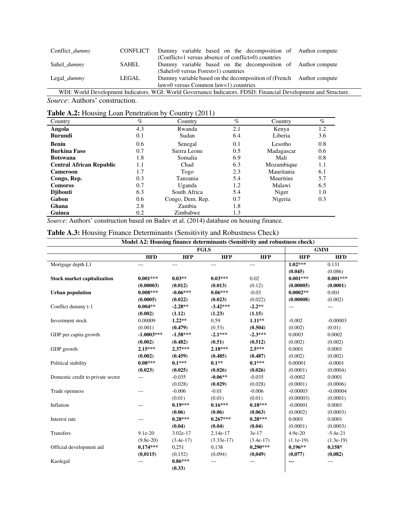| Conflict dummy                                                                                                  | <b>CONFLICT</b> | Dummy variable based on the decomposition of Author compute         |  |  |
|-----------------------------------------------------------------------------------------------------------------|-----------------|---------------------------------------------------------------------|--|--|
|                                                                                                                 |                 | (Conflict=1 versus absence of conflict=0) countries                 |  |  |
| Sahel <i>dummy</i>                                                                                              | SAHEL           | Dummy variable based on the decomposition of Author compute         |  |  |
|                                                                                                                 |                 | $(Sahel=0$ versus Forest=1) countries                               |  |  |
| Legal <i>dummy</i>                                                                                              | LEGAL           | Dummy variable based on the decomposition of (French Author compute |  |  |
|                                                                                                                 |                 | $law=0$ versus Common $law=1$ ) countries                           |  |  |
| WDI: World Development Indicators. WGI: World Governance Indicators. FDSD: Financial Development and Structure. |                 |                                                                     |  |  |

*Source*: Authors' construction.

| <b>Table A.2:</b> Housing Loan Penetration by Country (2011) |  |  |  |
|--------------------------------------------------------------|--|--|--|
|--------------------------------------------------------------|--|--|--|

| Country                         | $\%$ | Country          | $\%$ | Country          | $\%$    |
|---------------------------------|------|------------------|------|------------------|---------|
| Angola                          | 4.3  | Rwanda           | 2.1  | Kenya            | 1.2     |
| <b>Burundi</b>                  | 0.1  | Sudan            | 6.4  | Liberia          | 3.6     |
| Benin                           | 0.6  | Senegal          | 0.1  | Lesotho          | 0.8     |
| <b>Burkina Faso</b>             | 0.7  | Sierra Leone     | 0.5  | Madagascar       | 0.6     |
| <b>Botswana</b>                 | 1.8  | Somalia          | 6.9  | Mali             | 0.8     |
| <b>Central African Republic</b> | 1.1  | Chad             | 6.3  | Mozambique       | $1.1\,$ |
| <b>Cameroon</b>                 | 1.7  | Togo             | 2.3  | Mauritania       | 6.1     |
| Congo, Rep.                     | 0.3  | Tanzania         | 5.4  | <b>Mauritius</b> | 5.7     |
| <b>Comoros</b>                  | 0.7  | Uganda           | 1.2  | Malawi           | 6.5     |
| <b>D</b> ibouti                 | 6.3  | South Africa     | 5.4  | Niger            | 1.0     |
| Gabon                           | 0.6  | Congo, Dem. Rep. | 0.7  | Nigeria          | 0.3     |
| Ghana                           | 2.8  | Zambia           | 1.8  |                  |         |
| Guinea                          | 0.2  | Zimbabwe         | 1.3  |                  |         |

*Source*: Authors' construction based on Badev et al. (2014) database on housing finance.

| Table A.3: Housing Finance Determinants (Sensitivity and Robustness Check) |  |  |  |  |
|----------------------------------------------------------------------------|--|--|--|--|
|----------------------------------------------------------------------------|--|--|--|--|

| Model A2: Housing finance determinants (Sensitivity and robustness check) |              |             |              |             |             |             |  |
|---------------------------------------------------------------------------|--------------|-------------|--------------|-------------|-------------|-------------|--|
|                                                                           | <b>FGLS</b>  |             |              |             | <b>GMM</b>  |             |  |
|                                                                           | <b>HFD</b>   | <b>HFP</b>  | <b>HFP</b>   | <b>HFP</b>  | <b>HFP</b>  | <b>HFD</b>  |  |
| Mortgage depth L1                                                         | ---          | ---         | ---          | ---         | $1.02***$   | 0.131       |  |
|                                                                           |              |             |              |             | (0.045)     | (0.086)     |  |
| <b>Stock market capitalization</b>                                        | $0.001***$   | $0.03**$    | $0.03***$    | 0.02        | $0.001***$  | $0.001***$  |  |
|                                                                           | (0.00003)    | (0.012)     | (0.013)      | (0.12)      | (0.00005)   | (0.0001)    |  |
| <b>Urban population</b>                                                   | $0.008***$   | $-0.06***$  | $0.06***$    | $-0.03$     | $0.0002**$  | 0.001       |  |
|                                                                           | (0.0005)     | (0.022)     | (0.023)      | (0.022)     | (0.00008)   | (0.002)     |  |
| Conflict dummy t-1                                                        | $0.004**$    | $-2.28**$   | $-3.42***$   | $-2.2**$    | $---$       | ---         |  |
|                                                                           | (0.002)      | (1.12)      | (1.23)       | (1.15)      |             |             |  |
| Investment stock                                                          | 0.00009      | $1.22**$    | 0.59         | $1.11**$    | $-0.002$    | $-0.00003$  |  |
|                                                                           | (0.001)      | (0.479)     | (0.53)       | (0.504)     | (0.002)     | (0.01)      |  |
| GDP per capita growth                                                     | $-1.0003***$ | $-1.58***$  | $-2.1***$    | $-2.3***$   | 0.0003      | 0.0002      |  |
|                                                                           | (0.002)      | (0.482)     | (0.51)       | (0.512)     | (0.002)     | (0.002)     |  |
| GDP growth                                                                | $2.15***$    | $2.37***$   | $2.18***$    | $2.5***$    | 0.0001      | 0.0001      |  |
|                                                                           | (0.002)      | (0.459)     | (0.485)      | (0.487)     | (0.002)     | (0.002)     |  |
| Political stability                                                       | $0.08***$    | $0.1***$    | $0.1**$      | $0.1***$    | 0.00001     | $-0.0001$   |  |
|                                                                           | (0.023)      | (0.025)     | (0.026)      | (0.026)     | (0.0001)    | (0.0004)    |  |
| Domestic credit to private sector                                         | $---$        | $-0.035$    | $-0.06**$    | $-0.035$    | $-0.0002$   | 0.0001      |  |
|                                                                           |              | (0.028)     | (0.029)      | (0.028)     | (0.0001)    | (0.0006)    |  |
| Trade openness                                                            | $---$        | $-0.006$    | $-0.01$      | $-0.006$    | $-0.00003$  | $-0.00004$  |  |
|                                                                           |              | (0.01)      | (0.01)       | (0.01)      | (0.00003)   | (0.0001)    |  |
| Inflation                                                                 | ---          | $0.19***$   | $0.16***$    | $0.18***$   | $-0.00001$  | 0.0001      |  |
|                                                                           |              | (0.06)      | (0.06)       | (0.063)     | (0.0002)    | (0.0003)    |  |
| Interest rate                                                             | ---          | $0.28***$   | $0.267***$   | $0.28***$   | 0.0001      | 0.0001      |  |
|                                                                           |              | (0.04)      | (0.04)       | (0.04)      | (0.0001)    | (0.0003)    |  |
| Transfers                                                                 | $9.1e-20$    | 3.02e-17    | 2.14e-17     | $3e-17$     | $4.9e-20$   | $-5.4e-21$  |  |
|                                                                           | $(9.8e-20)$  | $(3.4e-17)$ | $(3.33e-17)$ | $(3.4e-17)$ | $(1.1e-19)$ | $(1.3e-19)$ |  |
| Official development aid                                                  | $0,174***$   | 0.251       | 0,138        | $0,290***$  | $0,196**$   | $0,158*$    |  |
|                                                                           | (0,0115)     | (0, 152)    | (0,094)      | (0,049)     | (0,077)     | (0,082)     |  |
| Kaolegal                                                                  | ---          | $0.86***$   | ---          | ---         | ---         | $---$       |  |
|                                                                           |              | (0.33)      |              |             |             |             |  |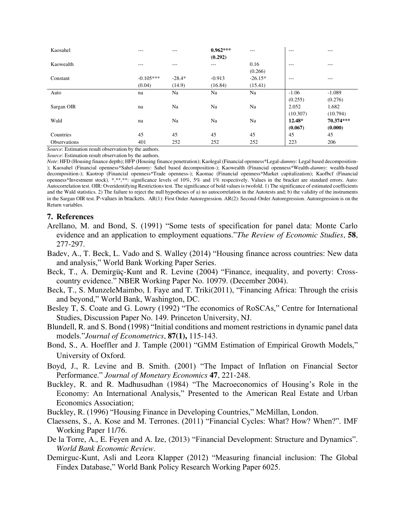| Kaosahel            | $- - -$     | ---      | $0.962***$ | ---       | $- - -$  | $- - -$   |
|---------------------|-------------|----------|------------|-----------|----------|-----------|
|                     |             |          | (0.292)    |           |          |           |
| Kaowealth           | $---$       | ---      | $---$      | 0.16      | $---$    | $---$     |
|                     |             |          |            | (0.266)   |          |           |
| Constant            | $-0.105***$ | $-28.4*$ | $-0.913$   | $-26.15*$ | $---$    | $---$     |
|                     | (0.04)      | (14.9)   | (16.84)    | (15.41)   |          |           |
| Auto                | na          | Na       | Na         | Na        | $-1.06$  | $-1.089$  |
|                     |             |          |            |           | (0.255)  | (0.276)   |
| Sargan OIR          | na          | Na       | Na         | Na        | 2.052    | 1.682     |
|                     |             |          |            |           | (10.307) | (10.794)  |
| Wald                | na          | Na       | Na         | Na        | 12.48*   | 70.374*** |
|                     |             |          |            |           | (0.067)  | (0.000)   |
| Countries           | 45          | 45       | 45         | 45        | 45       | 45        |
| <b>Observations</b> | 401         | 252      | 252        | 252       | 223      | 206       |

*Source*: Estimation result observation by the authors.

*Source*: Estimation result observation by the authors.

*Note*: HFD (Housing finance depth); HFP (Housing finance penetration); Kaolegal (Financial openness\*Legal-*dummy*: Legal based decomposition- ); Kaosahel (Financial openness\*Sahel-*dummy*: Sahel based decomposition-); Kaowealth (Financial openness\*Wealth-*dummy*: wealth-based decomposition-); Kaotrop (Financial openness\*Trade openness-); Kaomac (Financial openness\*Market capitalization); Kaofbcf (Financial openness\*Investment stock). \*,\*\*,\*\*: significance levels of 10%, 5% and 1% respectively. Values in the bracket are standard errors. Auto: Autocorrelation test. OIR: Overidentifying Restrictions test. The significance of bold values is twofold. 1) The significance of estimated coefficients and the Wald statistics. 2) The failure to reject the null hypotheses of a) no autocorrelation in the Autotests and; b) the validity of the instruments in the Sargan OIR test. P-values in brackets. AR(1): First Order Autoregression. AR(2): Second-Order Autoregression. Autoregression is on the Return variables.

#### **7. References**

- Arellano, M. and Bond, S. (1991) "Some tests of specification for panel data: Monte Carlo evidence and an application to employment equations."*The Review of Economic Studies*, **58**, 277-297.
- Badev, A., T. Beck, L. Vado and S. Walley (2014) "Housing finance across countries: New data and analysis," World Bank Working Paper Series.
- Beck, T., A. Demirgüç-Kunt and R. Levine (2004) "Finance, inequality, and poverty: Crosscountry evidence." NBER Working Paper No. 10979. (December 2004).
- Beck, T., S. MunzeleMaimbo, I. Faye and T. Triki(2011), "Financing Africa: Through the crisis and beyond," World Bank, Washington, DC.
- Besley T, S. Coate and G. Lowry (1992) "The economics of RoSCAs," Centre for International Studies, Discussion Paper No. 149. Princeton University, NJ.
- Blundell, R. and S. Bond (1998) "Initial conditions and moment restrictions in dynamic panel data models."*Journal of Econometrics*, **87(1),** 115-143.
- Bond, S., A. Hoeffler and J. Tample (2001) "GMM Estimation of Empirical Growth Models," University of Oxford.
- Boyd, J., R. Levine and B. Smith. (2001) "The Impact of Inflation on Financial Sector Performance." *Journal of Monetary Economics* **47**, 221-248.
- Buckley, R. and R. Madhusudhan (1984) "The Macroeconomics of Housing's Role in the Economy: An International Analysis," Presented to the American Real Estate and Urban Economics Association;
- Buckley, R. (1996) "Housing Finance in Developing Countries," McMillan, London.
- Claessens, S., A. Kose and M. Terrones. (2011) "Financial Cycles: What? How? When?". IMF Working Paper 11/76.
- De la Torre, A., E. Feyen and A. Ize, (2013) "Financial Development: Structure and Dynamics". *World Bank Economic Review*.
- Demirguc-Kunt, Asli and Leora Klapper (2012) "Measuring financial inclusion: The Global Findex Database," World Bank Policy Research Working Paper 6025.